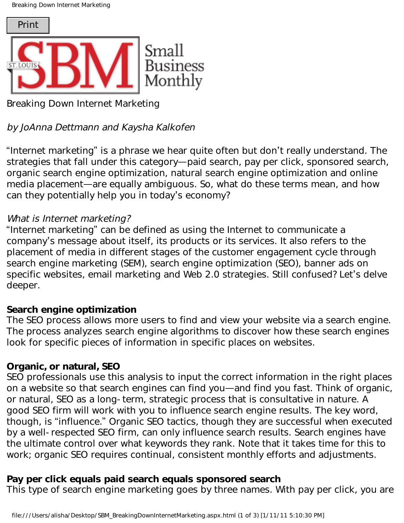Breaking Down Internet Marketing



Breaking Down Internet Marketing

# by JoAnna Dettmann and Kaysha Kalkofen

"Internet marketing" is a phrase we hear quite often but don't really understand. The strategies that fall under this category—paid search, pay per click, sponsored search, organic search engine optimization, natural search engine optimization and online media placement—are equally ambiguous. So, what do these terms mean, and how can they potentially help you in today's economy?

### What is Internet marketing?

"Internet marketing" can be defined as using the Internet to communicate a company's message about itself, its products or its services. It also refers to the placement of media in different stages of the customer engagement cycle through search engine marketing (SEM), search engine optimization (SEO), banner ads on specific websites, email marketing and Web 2.0 strategies. Still confused? Let's delve deeper.

#### **Search engine optimization**

The SEO process allows more users to find and view your website via a search engine. The process analyzes search engine algorithms to discover how these search engines look for specific pieces of information in specific places on websites.

#### **Organic, or natural, SEO**

SEO professionals use this analysis to input the correct information in the right places on a website so that search engines can find you—and find you fast. Think of organic, or natural, SEO as a long-term, strategic process that is consultative in nature. A good SEO firm will work with you to influence search engine results. The key word, though, is "influence." Organic SEO tactics, though they are successful when executed by a well-respected SEO firm, can only influence search results. Search engines have the ultimate control over what keywords they rank. Note that it takes time for this to work; organic SEO requires continual, consistent monthly efforts and adjustments. Final Month and Keysta Marketing Straall Bussiness<br>
Homel Bussiness and Kaysha/Kalkofen<br>
Internet marketing<br>
Internet marketing<br>
Internet marketing<br>
Internet marketing is a phrase we hear quite often but don't really un<br>
I

## **Pay per click equals paid search equals sponsored search**

This type of search engine marketing goes by three names. With pay per click, you are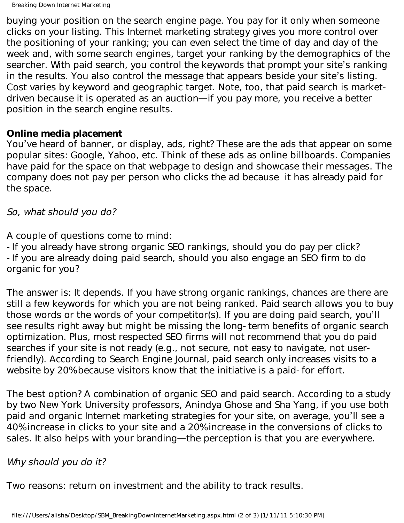Breaking Down Internet Marketing

buying your position on the search engine page. You pay for it only when someone clicks on your listing. This Internet marketing strategy gives you more control over the positioning of your ranking; you can even select the time of day and day of the week and, with some search engines, target your ranking by the demographics of the searcher. With paid search, you control the keywords that prompt your site's ranking in the results. You also control the message that appears beside your site's listing. Cost varies by keyword and geographic target. Note, too, that paid search is marketdriven because it is operated as an auction—if you pay more, you receive a better position in the search engine results.

#### **Online media placement**

You've heard of banner, or display, ads, right? These are the ads that appear on some popular sites: Google, Yahoo, etc. Think of these ads as online billboards. Companies have paid for the space on that webpage to design and showcase their messages. The company does not pay per person who clicks the ad because it has already paid for the space.

So, what should you do?

A couple of questions come to mind:

-If you already have strong organic SEO rankings, should you do pay per click? -If you are already doing paid search, should you also engage an SEO firm to do organic for you?

The answer is: It depends. If you have strong organic rankings, chances are there are still a few keywords for which you are not being ranked. Paid search allows you to buy those words or the words of your competitor(s). If you are doing paid search, you'll see results right away but might be missing the long-term benefits of organic search optimization. Plus, most respected SEO firms will not recommend that you do paid searches if your site is not ready (e.g., not secure, not easy to navigate, not userfriendly). According to Search Engine Journal, paid search only increases visits to a website by 20% because visitors know that the initiative is a paid-for effort.

The best option? A combination of organic SEO and paid search. According to a study by two New York University professors, Anindya Ghose and Sha Yang, if you use both paid and organic Internet marketing strategies for your site, on average, you'll see a 40% increase in clicks to your site and a 20% increase in the conversions of clicks to sales. It also helps with your branding—the perception is that you are everywhere.

## Why should you do it?

Two reasons: return on investment and the ability to track results.